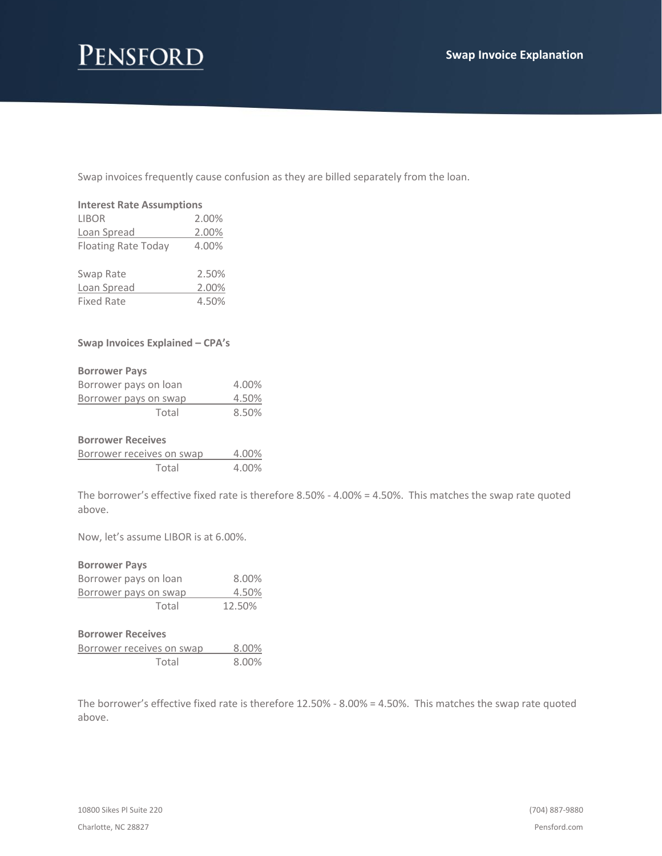# Pensford

Swap invoices frequently cause confusion as they are billed separately from the loan.

| <b>Interest Rate Assumptions</b> |       |  |
|----------------------------------|-------|--|
| LIBOR                            | 2.00% |  |
| Loan Spread                      | 2.00% |  |
| <b>Floating Rate Today</b>       | 4.00% |  |
| Swap Rate                        | 2.50% |  |
| Loan Spread                      | 2.00% |  |
| <b>Fixed Rate</b>                | 4.50% |  |

### **Swap Invoices Explained – CPA's**

#### **Borrower Pays**

| Borrower pays on loan | 4.00% |
|-----------------------|-------|
| Borrower pays on swap | 4.50% |
| Total                 | 8.50% |

#### **Borrower Receives**

| Borrower receives on swap | 4.00% |
|---------------------------|-------|
| Total                     | 4.00% |

The borrower's effective fixed rate is therefore 8.50% - 4.00% = 4.50%. This matches the swap rate quoted above.

Now, let's assume LIBOR is at 6.00%.

| <b>Borrower Pays</b>      |        |
|---------------------------|--------|
| Borrower pays on loan     | 8.00%  |
| Borrower pays on swap     | 4.50%  |
| Total                     | 12.50% |
| <b>Borrower Receives</b>  |        |
| Borrower receives on swap | 8.00%  |
| Total                     | 8.00%  |

The borrower's effective fixed rate is therefore 12.50% - 8.00% = 4.50%. This matches the swap rate quoted above.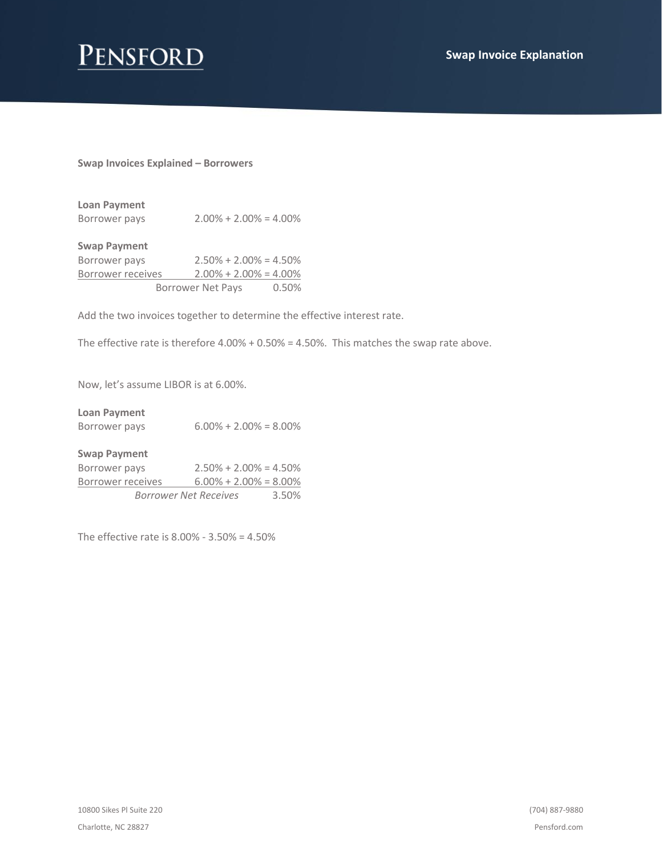

## **Swap Invoices Explained – Borrowers**

| Loan Payment  |                            |
|---------------|----------------------------|
| Borrower pays | $2.00\% + 2.00\% = 4.00\%$ |

| <b>Swap Payment</b> |                            |       |
|---------------------|----------------------------|-------|
| Borrower pays       | $2.50\% + 2.00\% = 4.50\%$ |       |
| Borrower receives   | $2.00\% + 2.00\% = 4.00\%$ |       |
|                     | <b>Borrower Net Pays</b>   | 0.50% |

Add the two invoices together to determine the effective interest rate.

The effective rate is therefore 4.00% + 0.50% = 4.50%. This matches the swap rate above.

Now, let's assume LIBOR is at 6.00%.

| <b>Loan Payment</b><br>Borrower pays | $6.00\% + 2.00\% = 8.00\%$ |
|--------------------------------------|----------------------------|
| <b>Swap Payment</b><br>Borrower pays | $2.50\% + 2.00\% = 4.50\%$ |

| Borrower Net Receives |                             | 3.50% |
|-----------------------|-----------------------------|-------|
| Borrower receives     | $6.00\% + 2.00\% = 8.00\%$  |       |
| <b>DUITUWEI PUYJ</b>  | $2.50010 + 2.0010 = 7.5010$ |       |

The effective rate is 8.00% - 3.50% = 4.50%